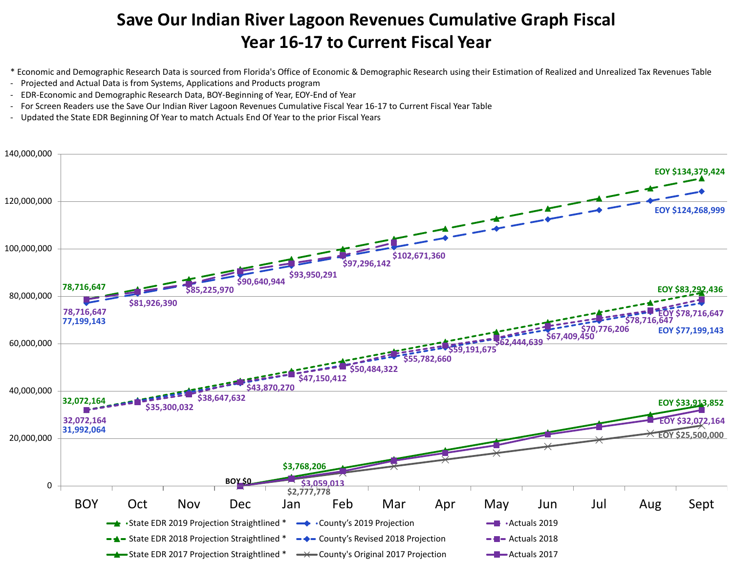## **Save Our Indian River Lagoon Revenues Cumulative Graph Fiscal Year 16-17 to Current Fiscal Year**

- \* Economic and Demographic Research Data is sourced from Florida's Office of Economic & Demographic Research using their Estimation of Realized and Unrealized Tax Revenues Table
- Projected and Actual Data is from Systems, Applications and Products program
- EDR-Economic and Demographic Research Data, BOY-Beginning of Year, EOY-End of Year
- For Screen Readers use the Save Our Indian River Lagoon Revenues Cumulative Fiscal Year 16-17 to Current Fiscal Year Table
- Updated the State EDR Beginning Of Year to match Actuals End Of Year to the prior Fiscal Years